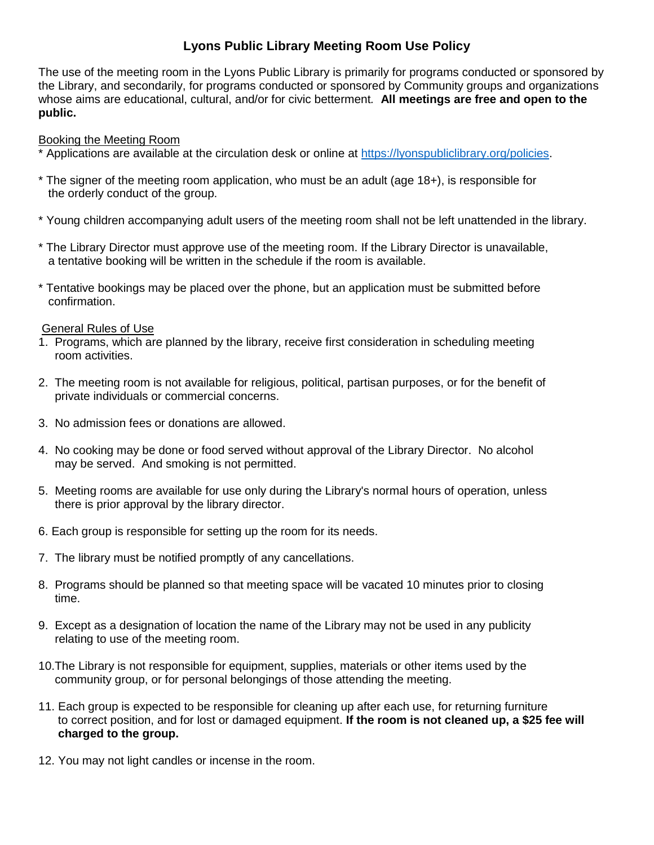## **Lyons Public Library Meeting Room Use Policy**

The use of the meeting room in the Lyons Public Library is primarily for programs conducted or sponsored by the Library, and secondarily, for programs conducted or sponsored by Community groups and organizations whose aims are educational, cultural, and/or for civic betterment*.* **All meetings are free and open to the public.**

## Booking the Meeting Room

- \* Applications are available at the circulation desk or online at [https://lyonspubliclibrary.org/policies.](https://lyonspubliclibrary.org/policies)
- \* The signer of the meeting room application, who must be an adult (age 18+), is responsible for the orderly conduct of the group.
- \* Young children accompanying adult users of the meeting room shall not be left unattended in the library.
- \* The Library Director must approve use of the meeting room. If the Library Director is unavailable, a tentative booking will be written in the schedule if the room is available.
- \* Tentative bookings may be placed over the phone, but an application must be submitted before confirmation.

## General Rules of Use

- 1. Programs, which are planned by the library, receive first consideration in scheduling meeting room activities.
- 2. The meeting room is not available for religious, political, partisan purposes, or for the benefit of private individuals or commercial concerns.
- 3. No admission fees or donations are allowed.
- 4. No cooking may be done or food served without approval of the Library Director. No alcohol may be served. And smoking is not permitted.
- 5. Meeting rooms are available for use only during the Library's normal hours of operation, unless there is prior approval by the library director.
- 6. Each group is responsible for setting up the room for its needs.
- 7. The library must be notified promptly of any cancellations.
- 8. Programs should be planned so that meeting space will be vacated 10 minutes prior to closing time.
- 9. Except as a designation of location the name of the Library may not be used in any publicity relating to use of the meeting room.
- 10.The Library is not responsible for equipment, supplies, materials or other items used by the community group, or for personal belongings of those attending the meeting.
- 11. Each group is expected to be responsible for cleaning up after each use, for returning furniture to correct position, and for lost or damaged equipment. **If the room is not cleaned up, a \$25 fee will charged to the group.**
- 12. You may not light candles or incense in the room.